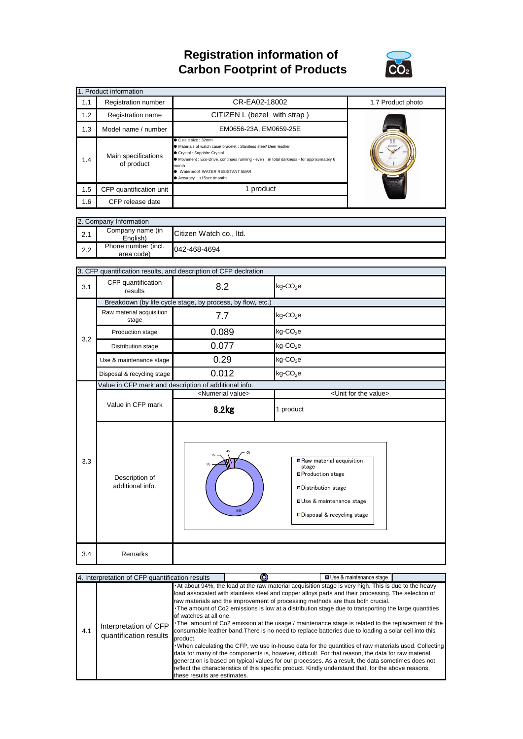## **Registration information of Carbon Footprint of Products**



| 1. Product information |     |                                                                                                                                                                                                                                                                                                                                         |                              |                   |  |  |
|------------------------|-----|-----------------------------------------------------------------------------------------------------------------------------------------------------------------------------------------------------------------------------------------------------------------------------------------------------------------------------------------|------------------------------|-------------------|--|--|
|                        | 1.1 | Registration number                                                                                                                                                                                                                                                                                                                     | CR-EA02-18002                | 1.7 Product photo |  |  |
|                        | 1.2 | Registration name                                                                                                                                                                                                                                                                                                                       | CITIZEN L (bezel with strap) |                   |  |  |
|                        | 1.3 | Model name / number                                                                                                                                                                                                                                                                                                                     |                              |                   |  |  |
|                        | 1.4 | ● C as e size : 32mm<br>● Materials of watch case/ bracelet : Stainless steel/ Deer leather<br>Crystal : Sapphire Crystal<br>Main specifications<br>• Movement : Eco-Drive, continues running - even in total darkness - for approximately 6<br>of product<br>month<br>● Waterproof: WATER RESISTANT 5BAR<br>● Accuracy: ±15sec /months |                              |                   |  |  |
|                        | 1.5 | CFP quantification unit                                                                                                                                                                                                                                                                                                                 | 1 product                    |                   |  |  |
|                        | 1.6 | CFP release date                                                                                                                                                                                                                                                                                                                        |                              |                   |  |  |

| 2. Company Information |                                   |                         |  |  |
|------------------------|-----------------------------------|-------------------------|--|--|
| 2.1                    | Company name (in<br>English)      | Citizen Watch co., Itd. |  |  |
| 2.2                    | Phone number (incl.<br>area code) | 042-468-4694            |  |  |

|     | 3. CFP quantification results, and description of CFP declration |                                                       |                                                                                                                                                                             |  |  |  |
|-----|------------------------------------------------------------------|-------------------------------------------------------|-----------------------------------------------------------------------------------------------------------------------------------------------------------------------------|--|--|--|
| 3.1 | CFP quantification<br>results                                    | 8.2                                                   | $kg$ -CO <sub>2</sub> e                                                                                                                                                     |  |  |  |
|     | Breakdown (by life cycle stage, by process, by flow, etc.)       |                                                       |                                                                                                                                                                             |  |  |  |
|     | Raw material acquisition<br>stage                                | 7.7                                                   | $kg$ -CO <sub>2</sub> e                                                                                                                                                     |  |  |  |
| 3.2 | Production stage                                                 | 0.089                                                 | $kg$ -CO <sub>2</sub> e                                                                                                                                                     |  |  |  |
|     | Distribution stage                                               | 0.077                                                 | $kg$ -CO <sub>2</sub> e                                                                                                                                                     |  |  |  |
|     | Use & maintenance stage                                          | 0.29                                                  | $kg$ -CO <sub>2</sub> e                                                                                                                                                     |  |  |  |
|     | Disposal & recycling stage                                       | 0.012                                                 | $kg$ -CO <sub>2</sub> e                                                                                                                                                     |  |  |  |
|     |                                                                  | Value in CFP mark and description of additional info. |                                                                                                                                                                             |  |  |  |
|     |                                                                  | <numerial value=""></numerial>                        | <unit for="" the="" value=""></unit>                                                                                                                                        |  |  |  |
|     | Value in CFP mark                                                | 8.2kg                                                 | 1 product                                                                                                                                                                   |  |  |  |
|     |                                                                  |                                                       |                                                                                                                                                                             |  |  |  |
| 3.3 | Description of<br>additional info.                               | O%<br>94%                                             | Raw material acquisition<br>stage<br><b>■Production stage</b><br><b>□Distribution stage</b><br><b>Use &amp; maintenance stage</b><br><b>□Disposal &amp; recycling stage</b> |  |  |  |

| 4. Interpretation of CFP quantification results |                                                 |                                                                    |                                                                                                                                                                                                                                                                                                                                                                                                                                                                                                                                                                                                                                                                                                                                                                                                                                                                                                                                                                                                                                               | □ Use & maintenance stage |  |
|-------------------------------------------------|-------------------------------------------------|--------------------------------------------------------------------|-----------------------------------------------------------------------------------------------------------------------------------------------------------------------------------------------------------------------------------------------------------------------------------------------------------------------------------------------------------------------------------------------------------------------------------------------------------------------------------------------------------------------------------------------------------------------------------------------------------------------------------------------------------------------------------------------------------------------------------------------------------------------------------------------------------------------------------------------------------------------------------------------------------------------------------------------------------------------------------------------------------------------------------------------|---------------------------|--|
| 4.1                                             | Interpretation of CFP<br>quantification results | of watches at all one.<br>product.<br>these results are estimates. | At about 94%, the load at the raw material acquisition stage is very high. This is due to the heavy<br>load associated with stainless steel and copper alloys parts and their processing. The selection of<br>raw materials and the improvement of processing methods are thus both crucial.<br>. The amount of Co2 emissions is low at a distribution stage due to transporting the large quantities<br>The amount of Co2 emission at the usage / maintenance stage is related to the replacement of the<br>consumable leather band. There is no need to replace batteries due to loading a solar cell into this<br>. When calculating the CFP, we use in-house data for the quantities of raw materials used. Collecting<br>data for many of the components is, however, difficult. For that reason, the data for raw material<br>generation is based on typical values for our processes. As a result, the data sometimes does not<br>reflect the characteristics of this specific product. Kindly understand that, for the above reasons, |                           |  |